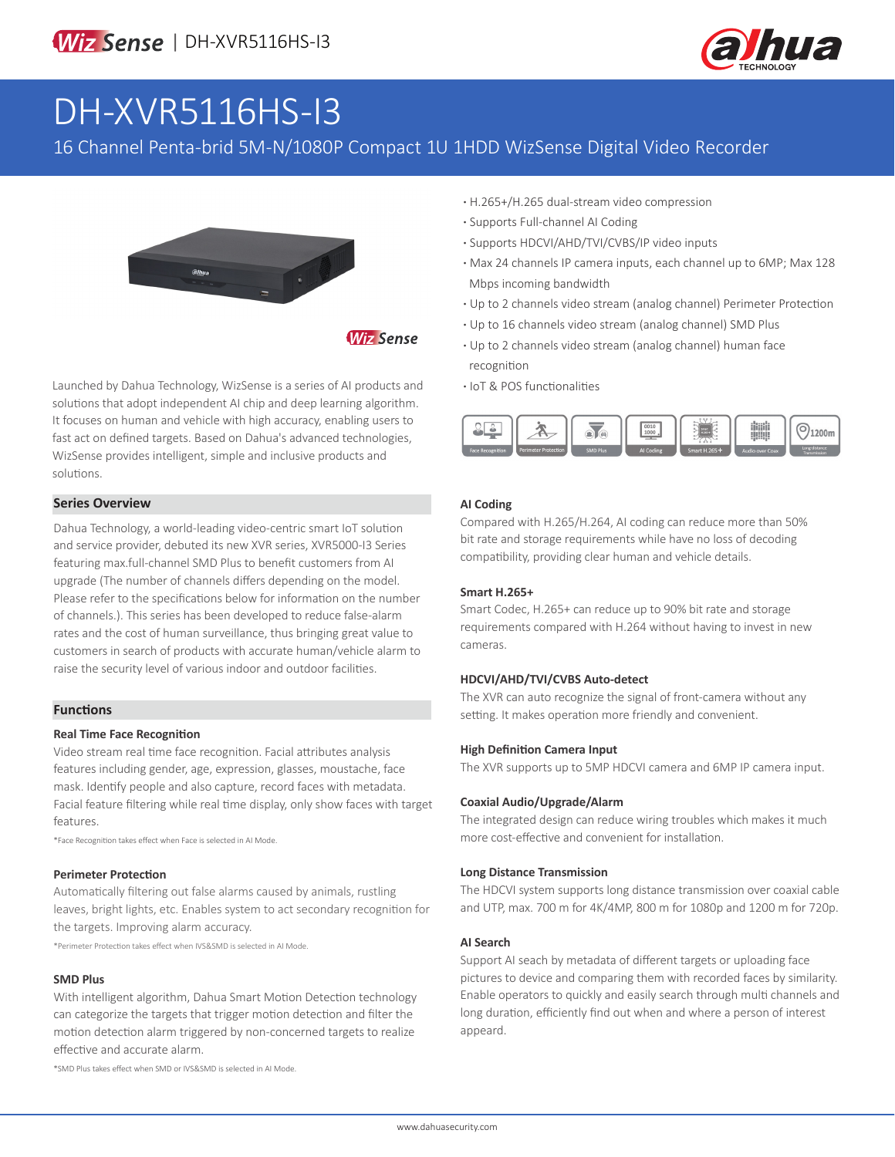

# DH-XVR5116HS-I3

### 16 Channel Penta-brid 5M-N/1080P Compact 1U 1HDD WizSense Digital Video Recorder



**Wiz Sense** 

Launched by Dahua Technology, WizSense is a series of AI products and solutions that adopt independent AI chip and deep learning algorithm. It focuses on human and vehicle with high accuracy, enabling users to fast act on defined targets. Based on Dahua's advanced technologies, WizSense provides intelligent, simple and inclusive products and solutions.

#### **Series Overview**

Dahua Technology, a world-leading video-centric smart IoT solution and service provider, debuted its new XVR series, XVR5000-I3 Series featuring max.full-channel SMD Plus to benefit customers from AI upgrade (The number of channels differs depending on the model. Please refer to the specifications below for information on the number of channels.). This series has been developed to reduce false-alarm rates and the cost of human surveillance, thus bringing great value to customers in search of products with accurate human/vehicle alarm to raise the security level of various indoor and outdoor facilities.

#### **Functions**

#### **Real Time Face Recognition**

Video stream real time face recognition. Facial attributes analysis features including gender, age, expression, glasses, moustache, face mask. Identify people and also capture, record faces with metadata. Facial feature filtering while real time display, only show faces with target features.

\*Face Recognition takes effect when Face is selected in AI Mode.

#### **Perimeter Protection**

Automatically filtering out false alarms caused by animals, rustling leaves, bright lights, etc. Enables system to act secondary recognition for the targets. Improving alarm accuracy.

\*Perimeter Protection takes effect when IVS&SMD is selected in AI Mode.

#### **SMD Plus**

With intelligent algorithm, Dahua Smart Motion Detection technology can categorize the targets that trigger motion detection and filter the motion detection alarm triggered by non-concerned targets to realize effective and accurate alarm.

\*SMD Plus takes effect when SMD or IVS&SMD is selected in AI Mode.

- **·** H.265+/H.265 dual-stream video compression
- **·** Supports Full-channel AI Coding
- **·** Supports HDCVI/AHD/TVI/CVBS/IP video inputs
- **·** Max 24 channels IP camera inputs, each channel up to 6MP; Max 128 Mbps incoming bandwidth
- **·** Up to 2 channels video stream (analog channel) Perimeter Protection
- **·** Up to 16 channels video stream (analog channel) SMD Plus
- **·** Up to 2 channels video stream (analog channel) human face recognition
- **·** IoT & POS functionalities



#### **AI Coding**

Compared with H.265/H.264, AI coding can reduce more than 50% bit rate and storage requirements while have no loss of decoding compatibility, providing clear human and vehicle details.

#### **Smart H.265+**

Smart Codec, H.265+ can reduce up to 90% bit rate and storage requirements compared with H.264 without having to invest in new cameras.

#### **HDCVI/AHD/TVI/CVBS Auto-detect**

The XVR can auto recognize the signal of front-camera without any setting. It makes operation more friendly and convenient.

#### **High Definition Camera Input**

The XVR supports up to 5MP HDCVI camera and 6MP IP camera input.

#### **Coaxial Audio/Upgrade/Alarm**

The integrated design can reduce wiring troubles which makes it much more cost-effective and convenient for installation.

#### **Long Distance Transmission**

The HDCVI system supports long distance transmission over coaxial cable and UTP, max. 700 m for 4K/4MP, 800 m for 1080p and 1200 m for 720p.

#### **AI Search**

Support AI seach by metadata of different targets or uploading face pictures to device and comparing them with recorded faces by similarity. Enable operators to quickly and easily search through multi channels and long duration, efficiently find out when and where a person of interest appeard.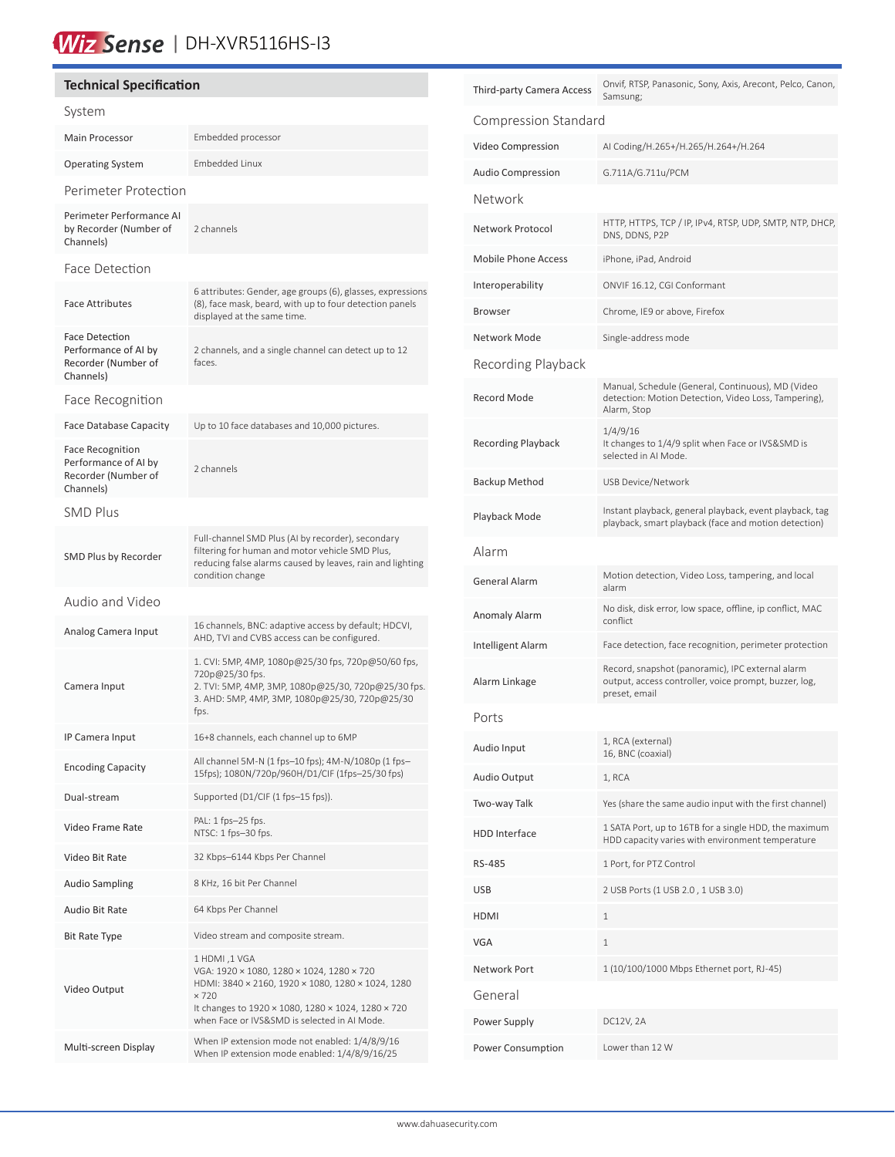## Wiz Sense | DH-XVR5116HS-13

#### **Technical Specification** System Main Processor **Embedded processor** Operating System Embedded Linux Perimeter Protection Perimeter Performance AI by Recorder (Number of Channels) 2 channels Face Detection Face Attributes 6 attributes: Gender, age groups (6), glasses, expressions (8), face mask, beard, with up to four detection panels displayed at the same time. Face Detection Performance of AI by Recorder (Number of Channels) 2 channels, and a single channel can detect up to 12 faces. Face Recognition Face Database Capacity Up to 10 face databases and 10,000 pictures. Face Recognition Performance of AI by Recorder (Number of Channels) 2 channels SMD Plus SMD Plus by Recorder Full-channel SMD Plus (AI by recorder), secondary filtering for human and motor vehicle SMD Plus, reducing false alarms caused by leaves, rain and lighting condition change Audio and Video Analog Camera Input 16 channels, BNC: adaptive access by default; HDCVI, AHD, TVI and CVBS access can be configured. Camera Input 1. CVI: 5MP, 4MP, 1080p@25/30 fps, 720p@50/60 fps, 720p@25/30 fps. 2. TVI: 5MP, 4MP, 3MP, 1080p@25/30, 720p@25/30 fps. 3. AHD: 5MP, 4MP, 3MP, 1080p@25/30, 720p@25/30 fps. IP Camera Input 16+8 channels, each channel up to 6MP Encoding Capacity All channel 5M-N (1 fps–10 fps); 4M-N/1080p (1 fps–<br>
All channel 5M-N (1 fps–10 fps); 4M-N/1080p (1 fps–10 fps) 15fps); 1080N/720p/960H/D1/CIF (1fps–25/30 fps) Dual-stream Supported (D1/CIF (1 fps-15 fps)). Video Frame Rate PAL: 1 fps–25 fps. NTSC: 1 fps–30 fps. Video Bit Rate 32 Kbps-6144 Kbps Per Channel Audio Sampling 8 KHz, 16 bit Per Channel Audio Bit Rate 64 Kbps Per Channel Bit Rate Type Video stream and composite stream. Video Output 1 HDMI ,1 VGA VGA: 1920 × 1080, 1280 × 1024, 1280 × 720 HDMI: 3840 × 2160, 1920 × 1080, 1280 × 1024, 1280 × 720 It changes to 1920 × 1080, 1280 × 1024, 1280 × 720 when Face or IVS&SMD is selected in AI Mode. When IP extension mode not enabled:  $1/4/8/9/16$ <br>Multi-screen Display Mhan IP extension mode anabled:  $1/4/8/9/16/25$ When IP extension mode enabled: 1/4/8/9/16/25

| Third-party Camera Access  | Onvif, RTSP, Panasonic, Sony, Axis, Arecont, Pelco, Canon,<br>Samsung;                                                     |  |  |  |
|----------------------------|----------------------------------------------------------------------------------------------------------------------------|--|--|--|
| Compression Standard       |                                                                                                                            |  |  |  |
| Video Compression          | AI Coding/H.265+/H.265/H.264+/H.264                                                                                        |  |  |  |
| Audio Compression          | G.711A/G.711u/PCM                                                                                                          |  |  |  |
| Network                    |                                                                                                                            |  |  |  |
| Network Protocol           | HTTP, HTTPS, TCP / IP, IPv4, RTSP, UDP, SMTP, NTP, DHCP,<br>DNS, DDNS, P2P                                                 |  |  |  |
| <b>Mobile Phone Access</b> | iPhone, iPad, Android                                                                                                      |  |  |  |
| Interoperability           | ONVIF 16.12, CGI Conformant                                                                                                |  |  |  |
| Browser                    | Chrome, IE9 or above, Firefox                                                                                              |  |  |  |
| Network Mode               | Single-address mode                                                                                                        |  |  |  |
| Recording Playback         |                                                                                                                            |  |  |  |
| Record Mode                | Manual, Schedule (General, Continuous), MD (Video<br>detection: Motion Detection, Video Loss, Tampering),<br>Alarm, Stop   |  |  |  |
| <b>Recording Playback</b>  | 1/4/9/16<br>It changes to 1/4/9 split when Face or IVS&SMD is<br>selected in AI Mode.                                      |  |  |  |
| <b>Backup Method</b>       | USB Device/Network                                                                                                         |  |  |  |
| Playback Mode              | Instant playback, general playback, event playback, tag<br>playback, smart playback (face and motion detection)            |  |  |  |
| Alarm                      |                                                                                                                            |  |  |  |
| General Alarm              | Motion detection, Video Loss, tampering, and local<br>alarm                                                                |  |  |  |
| Anomaly Alarm              | No disk, disk error, low space, offline, ip conflict, MAC<br>conflict                                                      |  |  |  |
| Intelligent Alarm          | Face detection, face recognition, perimeter protection                                                                     |  |  |  |
| Alarm Linkage              | Record, snapshot (panoramic), IPC external alarm<br>output, access controller, voice prompt, buzzer, log,<br>preset, email |  |  |  |
| Ports                      |                                                                                                                            |  |  |  |
| Audio Input                | 1, RCA (external)<br>16, BNC (coaxial)                                                                                     |  |  |  |
| Audio Output               | 1, RCA                                                                                                                     |  |  |  |
| Two-way Talk               | Yes (share the same audio input with the first channel)                                                                    |  |  |  |
| <b>HDD Interface</b>       | 1 SATA Port, up to 16TB for a single HDD, the maximum<br>HDD capacity varies with environment temperature                  |  |  |  |
| RS-485                     | 1 Port, for PTZ Control                                                                                                    |  |  |  |
| USB                        | 2 USB Ports (1 USB 2.0, 1 USB 3.0)                                                                                         |  |  |  |
| HDMI                       | 1                                                                                                                          |  |  |  |
| VGA                        | $\mathbf{1}$                                                                                                               |  |  |  |
| Network Port               | 1 (10/100/1000 Mbps Ethernet port, RJ-45)                                                                                  |  |  |  |
| General                    |                                                                                                                            |  |  |  |
| Power Supply               | DC12V, 2A                                                                                                                  |  |  |  |
| Power Consumption          | Lower than 12 W                                                                                                            |  |  |  |
|                            |                                                                                                                            |  |  |  |